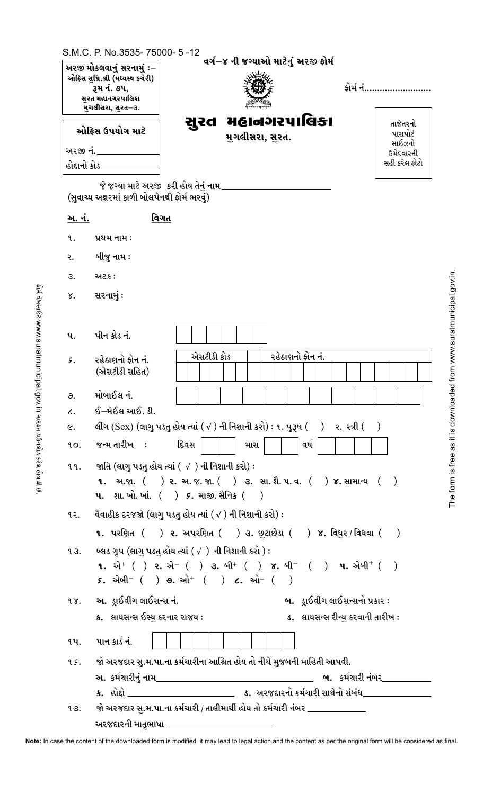|                 | અરજી મોકલવાનું સરનામું ઃ–<br>ઓફિસ સુપ્રિ.શ્રી (મધ્યસ્થ કચેરી)<br><b>રૂમ નં. ૭૫,</b><br>સુરત મહાનગરપાલિકા<br>મુગલીસરા, સુરત–૩. |                                                                                                                                                                                                                                                           | વર્ગ−૪ ની જગ્યાઓ માટેનું અરજી ફોર્મ | કોર્મ નં                               |
|-----------------|-------------------------------------------------------------------------------------------------------------------------------|-----------------------------------------------------------------------------------------------------------------------------------------------------------------------------------------------------------------------------------------------------------|-------------------------------------|----------------------------------------|
|                 | ઓકિસ ઉપયોગ માટે                                                                                                               | સુરત મહાનગરપાલિકા<br>મુગલીસરા, સુરત.                                                                                                                                                                                                                      |                                     | તાજેતરનો<br>પાસપોર્ટ                   |
|                 | <u>અરજી નં. _____</u><br>હોદ્દાનો કોડ _____                                                                                   |                                                                                                                                                                                                                                                           |                                     | સાઈઝનો<br>ઉમેદવારની<br>સહી કરેલ ફોટો   |
|                 | જે જગ્યા માટે અરજી <b>ંકરી હોય તેનું નામ</b> _                                                                                |                                                                                                                                                                                                                                                           |                                     |                                        |
|                 | (સુવાચ્ય અક્ષરમાં કાળી બોલપેનથી ફોર્મ ભરવું)                                                                                  |                                                                                                                                                                                                                                                           |                                     |                                        |
| <u>અ. નં.</u>   | વિગત                                                                                                                          |                                                                                                                                                                                                                                                           |                                     |                                        |
| q.              | પ્રથમ નામ :                                                                                                                   |                                                                                                                                                                                                                                                           |                                     |                                        |
| ર.              | બીજુ નામ :                                                                                                                    |                                                                                                                                                                                                                                                           |                                     |                                        |
| З.              | અટક :                                                                                                                         |                                                                                                                                                                                                                                                           |                                     |                                        |
| γ.              | સરનામું :                                                                                                                     |                                                                                                                                                                                                                                                           |                                     |                                        |
|                 |                                                                                                                               |                                                                                                                                                                                                                                                           |                                     |                                        |
| પ.              | પીન કોડ નં.                                                                                                                   |                                                                                                                                                                                                                                                           |                                     |                                        |
| $\mathcal{G}$ . | રહેઠાણનો કોન નં.<br>(એસટીડી સહિત)                                                                                             | એસટીડી કોડ                                                                                                                                                                                                                                                | રહેઠાણનો ફોન નં.                    |                                        |
| ৩.              | મોબાઈલ નં.                                                                                                                    |                                                                                                                                                                                                                                                           |                                     |                                        |
| $\mathcal{L}$ . | ઈ–મેઈલ આઈ. ડી.                                                                                                                |                                                                                                                                                                                                                                                           |                                     |                                        |
| $\epsilon$ .    |                                                                                                                               | લીંગ (Sex) (લાગુ પડતુ હોય ત્યાં $(\sqrt{ } )$ ની નિશાની કરો) : ૧. પુરૂષ $( )$ ર. સ્ત્રી $( )$                                                                                                                                                             |                                     |                                        |
| LO.             | જન્મ તારીખ <b>:</b>                                                                                                           | દિવસ<br>માસ                                                                                                                                                                                                                                               | વર્ષ                                |                                        |
| 99.             |                                                                                                                               | જાતિ (લાગુ પડતુ હોય ત્યાં ( √ ) ની નિશાની કરો) :<br><b>૧.</b> અ.જા. $($ ) ૨. અ. જ. જા. $($ ) ૩. સા. શૈ. પ. વ. $($ ) ૪. સામાન્ય $($ )<br><b>પ.</b> શા. ખો. ખાં. $($ ) <i>૬</i> . માજી. સૈનિક $($ )                                                         |                                     |                                        |
| ૧૨.             |                                                                                                                               | વૈવાહીક દરજજો (લાગુ પડતુ હોય ત્યાં ( √ ) ની નિશાની કરો) :                                                                                                                                                                                                 |                                     |                                        |
|                 |                                                                                                                               | 1. પરણિત ( ) ૨. અપરણિત ( ) ૩. છુટાછેડા ( ) ૪. વિધુર / વિધવા ( )                                                                                                                                                                                           |                                     |                                        |
| 93.             |                                                                                                                               | બ્લડ ગૃપ (લાગુ પડતુ હોય ત્યાં ( √ )  ની નિશાની કરો ) :<br><b>1.</b> એ <sup>+</sup> ( ) ૨. એ <sup>-</sup> ( ) ૩. બી <sup>+</sup> ( ) ૪. બી <sup>-</sup> ( ) <b>૫.</b> એબી <sup>+</sup> ( )<br>$5.$ એબી $^{-}$ ( ) <b>૭.</b> ઓ $^{+}$ ( ) $c.$ ઓ $^{-}$ ( ) |                                     |                                        |
|                 | ૧૪. અ. ડ્રાઈવીંગ લાઈસન્સ નં.                                                                                                  |                                                                                                                                                                                                                                                           |                                     | <b>બ.</b> ડ્રાઈવીંગ લાઈસન્સનો પ્રકાર : |
|                 | ક્ર. લાયસન્સ ઈસ્યુ કરનાર રાજય :                                                                                               |                                                                                                                                                                                                                                                           |                                     | ડ. લાયસન્સ રીન્યુ કરવાની તારીખ:        |
| ૧પ.             | પાન કાર્ડ નં.                                                                                                                 |                                                                                                                                                                                                                                                           |                                     |                                        |
| 9 S.            |                                                                                                                               | જો અરજદાર સુ.મ.પા.ના કર્મચારીના આશ્રિત હોય તો નીચે મુજબની માહિતી આપવી.                                                                                                                                                                                    |                                     |                                        |
|                 | <b>અ.</b> કર્મચારીનં નામ                                                                                                      |                                                                                                                                                                                                                                                           |                                     | <b>બ.</b> કર્મચારી નંબર                |

The form is free as it is downloaded from www.suratmunicipal.gov.in.

Note: In case the content of the downloaded form is modified, it may lead to legal action and the content as per the original form will be considered as final.

જો અરજદાર સુ.મ.પા.ના કર્મચારી / તાલીમાર્થી હોય તો કર્મચારી નંબર \_\_\_\_\_\_\_\_\_\_\_\_\_

ક. હોદો <u>\_\_\_\_\_\_\_\_\_\_\_\_\_\_\_\_\_\_\_</u>\_\_

અરજદારની માતૃભાષા \_

१७.

ડ. અરજદારનો કર્મચારી સાથેનો સંબંધ $\_$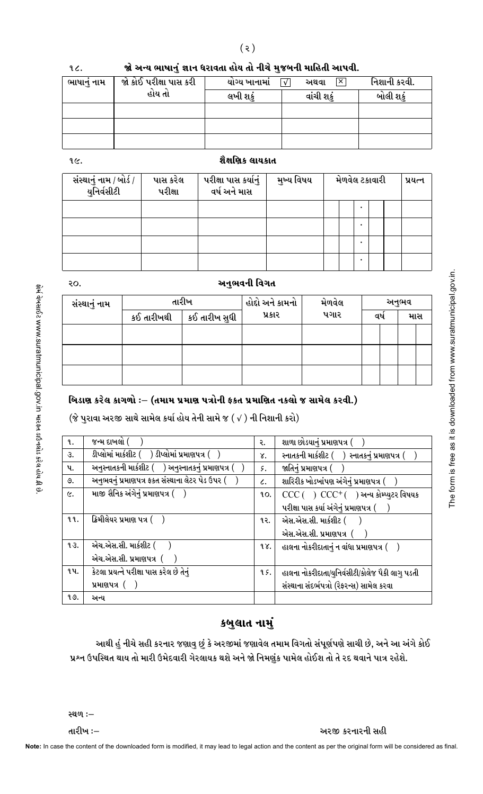|  | જો અન્ય ભાષાનું જ્ઞાન ધરાવતા હોય તો નીચે મુજબની માહિતી આપવી. |
|--|--------------------------------------------------------------|
|--|--------------------------------------------------------------|

| ભાષાનું નામ | જો કોઈ પરીક્ષા પાસ કરી | યોગ્ય ખાનામાં | $\sqrt{ }$<br>×<br>અથવા | નિશાની કરવી. |
|-------------|------------------------|---------------|-------------------------|--------------|
|             | હોય તો                 | લખી શકું      | વાંચી શકું              | બોલી શકું    |
|             |                        |               |                         |              |
|             |                        |               |                         |              |
|             |                        |               |                         |              |

 $9<sub>c</sub>$ 

## શૈક્ષણિક લાયકાત

| સંસ્થાનું નામ / બોર્ડ /<br>યુનિર્વસીટી | પાસ કરેલ<br>પરીક્ષા | પરીક્ષા પાસ કર્યાનું<br>વર્ષ અને માસ | મુખ્ય વિષય | મેળવેલ ટકાવારી |  | પ્રયત્ન |
|----------------------------------------|---------------------|--------------------------------------|------------|----------------|--|---------|
|                                        |                     |                                      |            |                |  |         |
|                                        |                     |                                      |            |                |  |         |
|                                        |                     |                                      |            |                |  |         |
|                                        |                     |                                      |            |                |  |         |

| ۰,<br>×<br>۰.<br>on the |
|-------------------------|
|-------------------------|

## અનુભવની વિગત

| સંસ્થાનું નામ |            | તારીખ         | હોદો અને કામનો | મેળવેલ | અનુભવ |  |  |     |
|---------------|------------|---------------|----------------|--------|-------|--|--|-----|
|               | કઈ તારીખથી | કઈ તારીખ સુધી | પ્રકાર         | પગાર   | વષ    |  |  | માસ |
|               |            |               |                |        |       |  |  |     |
|               |            |               |                |        |       |  |  |     |
|               |            |               |                |        |       |  |  |     |

### બિડાણ કરેલ કાગળો :- (તમામ પ્રમાણ પત્રોની ફક્ત પ્રમાણિત નકલો જ સામેલ કરવી.)

 $(\grave{\textbf{z}}$  પુરાવા અરજી સાથે સામેલ કર્યા હોય તેની સામે જ  $(\sqrt{})$  ની નિશાની કરો)

| <b>q</b> .   | જન્મ દાખલો (                                          | ર.              | શાળા છોડયાનું પ્રમાણપત્ર (                       |
|--------------|-------------------------------------------------------|-----------------|--------------------------------------------------|
| З.           | ડીપ્લોમાં માર્કશીટ (    ) ડીપ્લોમાં પ્રમાણપત્ર (      | γ.              | સ્નાતકની માર્કશીટ (    ) સ્નાતકનું પ્રમાણપત્ર (  |
| પ.           | અનુસ્નાતકની માર્કશીટ (    ) અનુસ્નાતકનું પ્રમાણપત્ર ( | ۶.              | જાતિનું પ્રમાણપત્ર (                             |
| ৩.           | અનુભવનું પ્રમાણપત્ર ફકત સંસ્થાના લેટર પેડ ઉપર (       | $\mathcal{L}$ . | શારિરીક ખોડખાંપણ અંગેનું પ્રમાણપત્ર (            |
| $\epsilon$ . | માજી સૈનિક અંગેનું પ્રમાણપત્ર (    )                  | 90.             | $CCC( ) CCf( )$ અન્ય કોમ્પ્યુટર વિષયક            |
|              |                                                       |                 | પરીક્ષા પાસ કર્યા અંગેનું પ્રમાણપત્ર (           |
| 99.          | ક્રિમીલેયર પ્રમાણ પત્ર ( )                            | १२.             | એસ.એસ.સી. માર્કશીટ (                             |
|              |                                                       |                 | એસ.એસ.સી. પ્રમાણપત્ર (                           |
| 93.          | એચ.એસ.સી. માર્કશીટ (                                  | 98.             | હાલના નોકરીદાતાનું ન વાંધા પ્રમાણપત્ર ( ં        |
|              | એચ.એસ.સી. પ્રમાણપત્ર ( )                              |                 |                                                  |
| ૧૫.          | કેટલા પ્રયત્ને પરીક્ષા પાસ કરેલ છે તેનું              | 9 S.            | હાલના નોકરીદાતા/યુનિર્વસીટી/કોલેજ પૈકી લાગુ પડતી |
|              | પ્રમાણપત્ર $($ $)$                                    |                 | સંસ્થાના સંદર્ભપત્રો (રેફરન્સ) સામેલ કરવા        |
| १७.          | અન્ય                                                  |                 |                                                  |

# કબુલાત નામું

આથી હું નીચે સહી કરનાર જણાવુ છું કે અરજીમાં જણાવેલ તમામ વિગતો સંપૂર્ણપણે સાચી છે, અને આ અંગે કોઈ પ્રશ્ન ઉપસ્થિત થાય તો મારી ઉમેદવારી ગેરલાયક થશે અને જો નિમણુંક પામેલ હોઈશ તો તે રદ થવાને પાત્ર રહેશે.

અરજી કરનારની સહી

સ્થળ :-

તારીખ :–